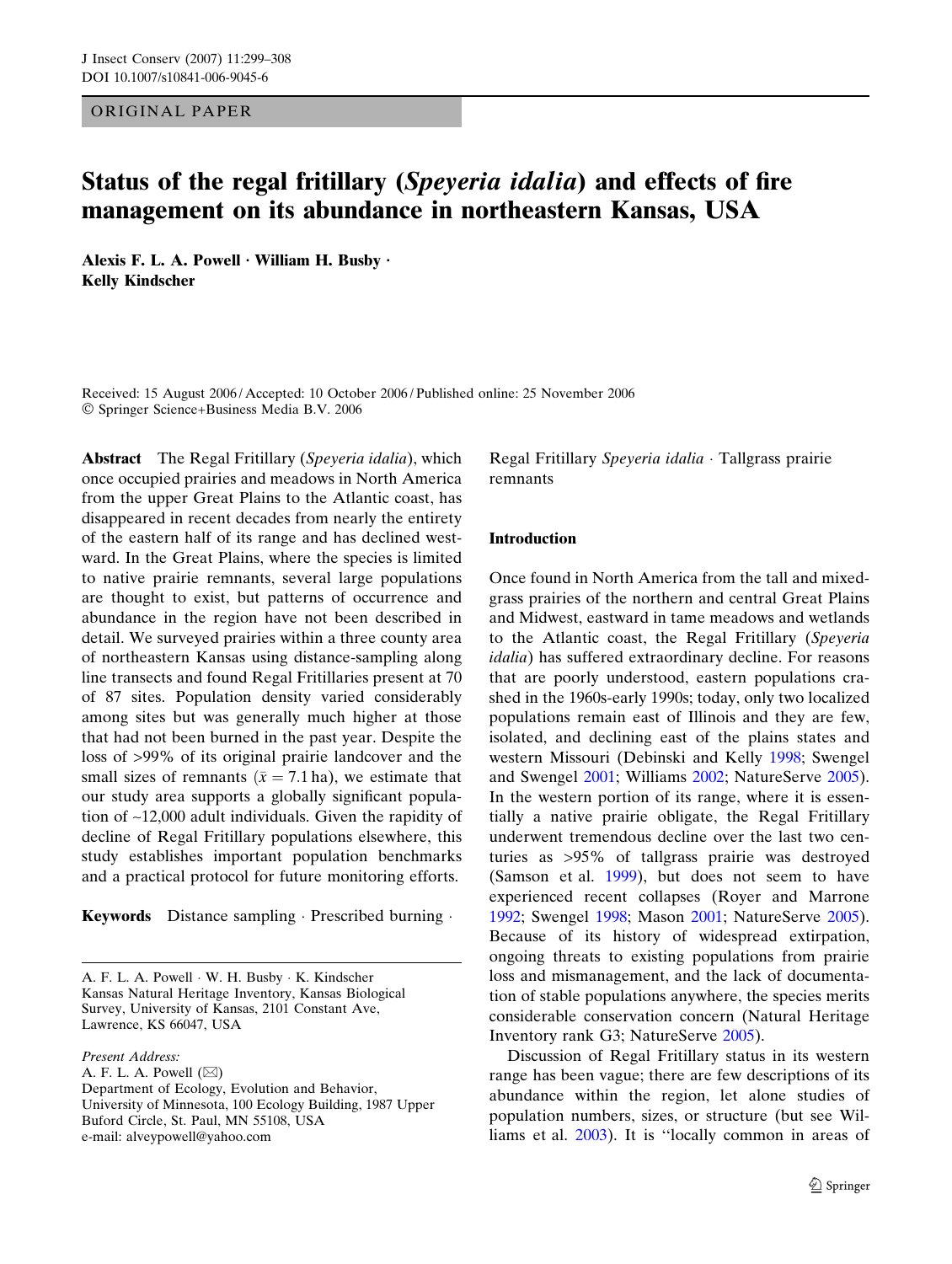# ORIGINAL PAPER

# Status of the regal fritillary (Speyeria idalia) and effects of fire management on its abundance in northeastern Kansas, USA

Alexis F. L. A. Powell  $\cdot$  William H. Busby  $\cdot$ Kelly Kindscher

Received: 15 August 2006 / Accepted: 10 October 2006 / Published online: 25 November 2006 Springer Science+Business Media B.V. 2006

**Abstract** The Regal Fritillary (Speyeria idalia), which once occupied prairies and meadows in North America from the upper Great Plains to the Atlantic coast, has disappeared in recent decades from nearly the entirety of the eastern half of its range and has declined westward. In the Great Plains, where the species is limited to native prairie remnants, several large populations are thought to exist, but patterns of occurrence and abundance in the region have not been described in detail. We surveyed prairies within a three county area of northeastern Kansas using distance-sampling along line transects and found Regal Fritillaries present at 70 of 87 sites. Population density varied considerably among sites but was generally much higher at those that had not been burned in the past year. Despite the loss of >99% of its original prairie landcover and the small sizes of remnants  $(\bar{x} = 7.1 \text{ ha})$ , we estimate that our study area supports a globally significant population of ~12,000 adult individuals. Given the rapidity of decline of Regal Fritillary populations elsewhere, this study establishes important population benchmarks and a practical protocol for future monitoring efforts.

**Keywords** Distance sampling  $\cdot$  Prescribed burning  $\cdot$ 

Present Address:

Regal Fritillary Speyeria idalia · Tallgrass prairie remnants

# Introduction

Once found in North America from the tall and mixedgrass prairies of the northern and central Great Plains and Midwest, eastward in tame meadows and wetlands to the Atlantic coast, the Regal Fritillary (Speyeria idalia) has suffered extraordinary decline. For reasons that are poorly understood, eastern populations crashed in the 1960s-early 1990s; today, only two localized populations remain east of Illinois and they are few, isolated, and declining east of the plains states and western Missouri (Debinski and Kelly [1998;](#page-9-0) Swengel and Swengel [2001](#page-9-0); Williams [2002](#page-9-0); NatureServe [2005\)](#page-9-0). In the western portion of its range, where it is essentially a native prairie obligate, the Regal Fritillary underwent tremendous decline over the last two centuries as >95% of tallgrass prairie was destroyed (Samson et al. [1999\)](#page-9-0), but does not seem to have experienced recent collapses (Royer and Marrone [1992](#page-9-0); Swengel [1998;](#page-9-0) Mason [2001;](#page-9-0) NatureServe [2005\)](#page-9-0). Because of its history of widespread extirpation, ongoing threats to existing populations from prairie loss and mismanagement, and the lack of documentation of stable populations anywhere, the species merits considerable conservation concern (Natural Heritage Inventory rank G3; NatureServe [2005](#page-9-0)).

Discussion of Regal Fritillary status in its western range has been vague; there are few descriptions of its abundance within the region, let alone studies of population numbers, sizes, or structure (but see Williams et al. [2003](#page-9-0)). It is ''locally common in areas of

A. F. L. A. Powell · W. H. Busby · K. Kindscher Kansas Natural Heritage Inventory, Kansas Biological Survey, University of Kansas, 2101 Constant Ave, Lawrence, KS 66047, USA

A. F. L. A. Powell  $(\boxtimes)$ Department of Ecology, Evolution and Behavior, University of Minnesota, 100 Ecology Building, 1987 Upper Buford Circle, St. Paul, MN 55108, USA e-mail: alveypowell@yahoo.com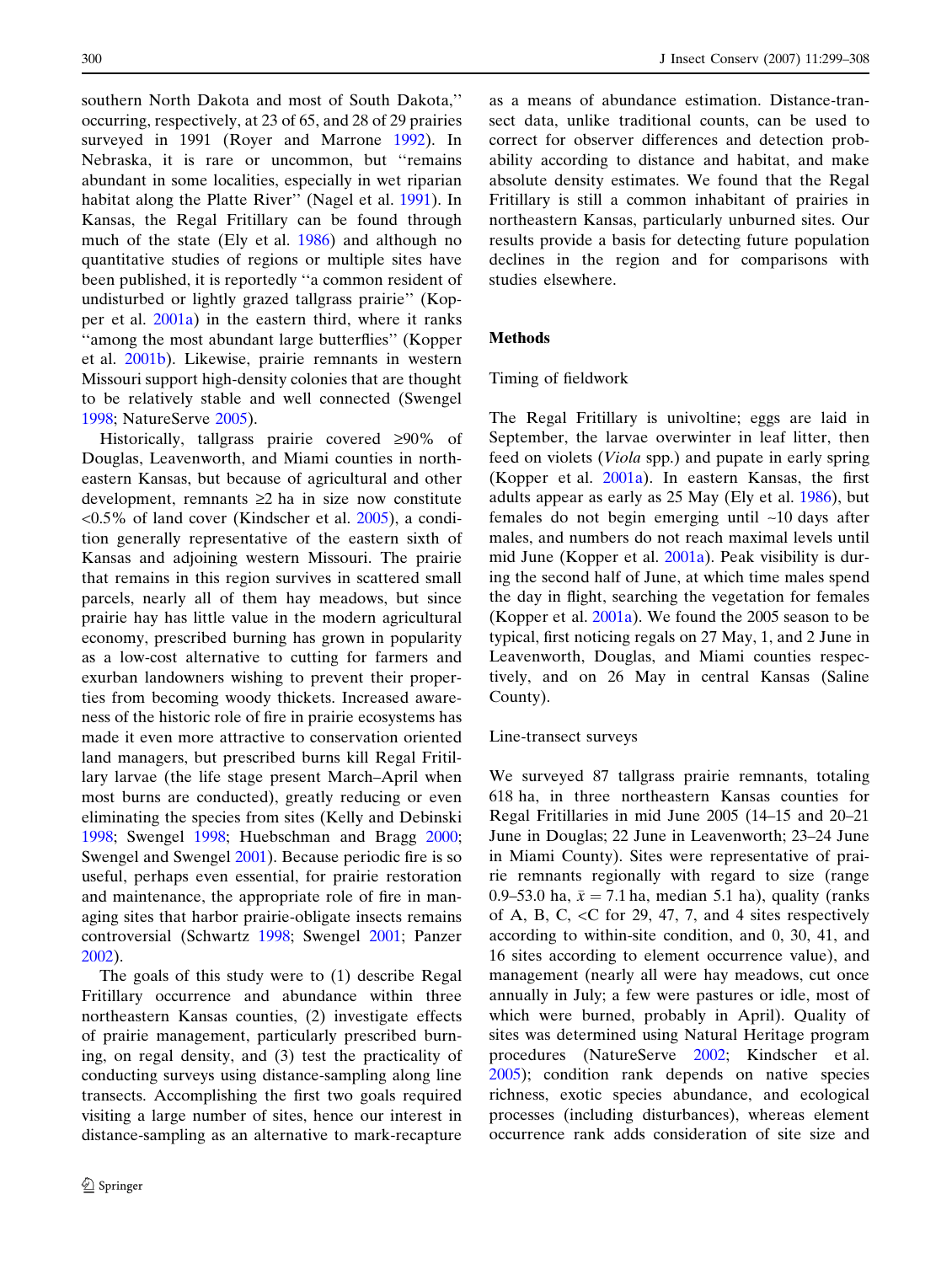southern North Dakota and most of South Dakota,'' occurring, respectively, at 23 of 65, and 28 of 29 prairies surveyed in 1991 (Royer and Marrone [1992](#page-9-0)). In Nebraska, it is rare or uncommon, but ''remains abundant in some localities, especially in wet riparian habitat along the Platte River'' (Nagel et al. [1991](#page-9-0)). In Kansas, the Regal Fritillary can be found through much of the state (Ely et al. [1986](#page-9-0)) and although no quantitative studies of regions or multiple sites have been published, it is reportedly ''a common resident of undisturbed or lightly grazed tallgrass prairie'' (Kopper et al. [2001a](#page-9-0)) in the eastern third, where it ranks ''among the most abundant large butterflies'' (Kopper et al. [2001b\)](#page-9-0). Likewise, prairie remnants in western Missouri support high-density colonies that are thought to be relatively stable and well connected (Swengel [1998;](#page-9-0) NatureServe [2005\)](#page-9-0).

Historically, tallgrass prairie covered  $\geq 90\%$  of Douglas, Leavenworth, and Miami counties in northeastern Kansas, but because of agricultural and other development, remnants  $\geq 2$  ha in size now constitute <0.5% of land cover (Kindscher et al. [2005](#page-9-0)), a condition generally representative of the eastern sixth of Kansas and adjoining western Missouri. The prairie that remains in this region survives in scattered small parcels, nearly all of them hay meadows, but since prairie hay has little value in the modern agricultural economy, prescribed burning has grown in popularity as a low-cost alternative to cutting for farmers and exurban landowners wishing to prevent their properties from becoming woody thickets. Increased awareness of the historic role of fire in prairie ecosystems has made it even more attractive to conservation oriented land managers, but prescribed burns kill Regal Fritillary larvae (the life stage present March–April when most burns are conducted), greatly reducing or even eliminating the species from sites (Kelly and Debinski [1998;](#page-9-0) Swengel [1998](#page-9-0); Huebschman and Bragg [2000;](#page-9-0) Swengel and Swengel [2001](#page-9-0)). Because periodic fire is so useful, perhaps even essential, for prairie restoration and maintenance, the appropriate role of fire in managing sites that harbor prairie-obligate insects remains controversial (Schwartz [1998;](#page-9-0) Swengel [2001](#page-9-0); Panzer [2002\)](#page-9-0).

The goals of this study were to (1) describe Regal Fritillary occurrence and abundance within three northeastern Kansas counties, (2) investigate effects of prairie management, particularly prescribed burning, on regal density, and (3) test the practicality of conducting surveys using distance-sampling along line transects. Accomplishing the first two goals required visiting a large number of sites, hence our interest in distance-sampling as an alternative to mark-recapture

as a means of abundance estimation. Distance-transect data, unlike traditional counts, can be used to correct for observer differences and detection probability according to distance and habitat, and make absolute density estimates. We found that the Regal Fritillary is still a common inhabitant of prairies in northeastern Kansas, particularly unburned sites. Our results provide a basis for detecting future population declines in the region and for comparisons with studies elsewhere.

# **Methods**

## Timing of fieldwork

The Regal Fritillary is univoltine; eggs are laid in September, the larvae overwinter in leaf litter, then feed on violets (Viola spp.) and pupate in early spring (Kopper et al. [2001a](#page-9-0)). In eastern Kansas, the first adults appear as early as 25 May (Ely et al. [1986](#page-9-0)), but females do not begin emerging until ~10 days after males, and numbers do not reach maximal levels until mid June (Kopper et al. [2001a\)](#page-9-0). Peak visibility is during the second half of June, at which time males spend the day in flight, searching the vegetation for females (Kopper et al. [2001a\)](#page-9-0). We found the 2005 season to be typical, first noticing regals on 27 May, 1, and 2 June in Leavenworth, Douglas, and Miami counties respectively, and on 26 May in central Kansas (Saline County).

## Line-transect surveys

We surveyed 87 tallgrass prairie remnants, totaling 618 ha, in three northeastern Kansas counties for Regal Fritillaries in mid June 2005 (14–15 and 20–21 June in Douglas; 22 June in Leavenworth; 23–24 June in Miami County). Sites were representative of prairie remnants regionally with regard to size (range 0.9–53.0 ha,  $\bar{x}$  = 7.1 ha, median 5.1 ha), quality (ranks of A, B, C,  $\lt C$  for 29, 47, 7, and 4 sites respectively according to within-site condition, and 0, 30, 41, and 16 sites according to element occurrence value), and management (nearly all were hay meadows, cut once annually in July; a few were pastures or idle, most of which were burned, probably in April). Quality of sites was determined using Natural Heritage program procedures (NatureServe [2002](#page-9-0); Kindscher et al. [2005](#page-9-0)); condition rank depends on native species richness, exotic species abundance, and ecological processes (including disturbances), whereas element occurrence rank adds consideration of site size and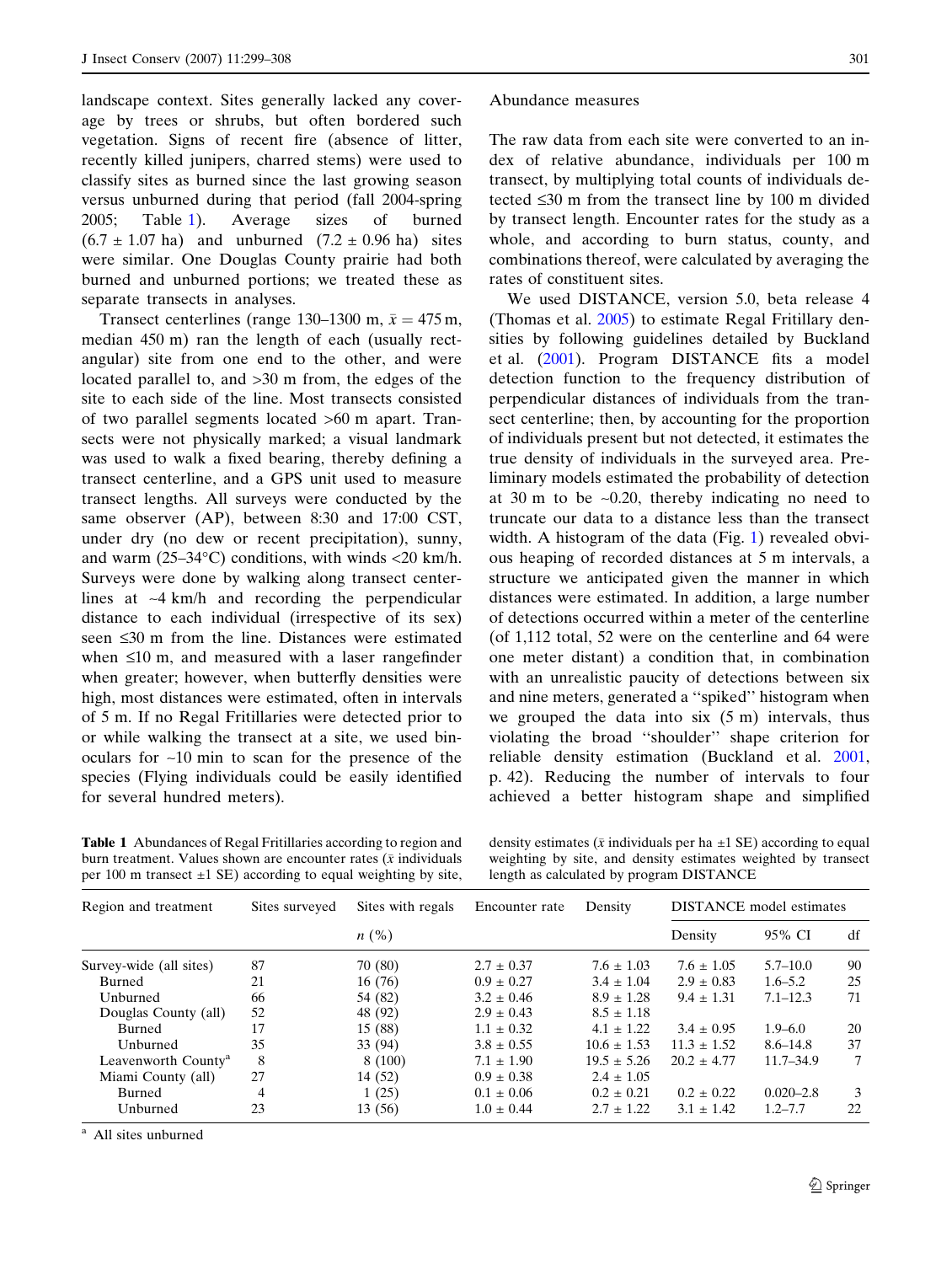<span id="page-2-0"></span>landscape context. Sites generally lacked any coverage by trees or shrubs, but often bordered such vegetation. Signs of recent fire (absence of litter, recently killed junipers, charred stems) were used to classify sites as burned since the last growing season versus unburned during that period (fall 2004-spring 2005; Table 1). Average sizes of burned  $(6.7 \pm 1.07 \text{ ha})$  and unburned  $(7.2 \pm 0.96 \text{ ha})$  sites were similar. One Douglas County prairie had both burned and unburned portions; we treated these as separate transects in analyses.

Transect centerlines (range 130–1300 m,  $\bar{x} = 475$  m, median 450 m) ran the length of each (usually rectangular) site from one end to the other, and were located parallel to, and >30 m from, the edges of the site to each side of the line. Most transects consisted of two parallel segments located >60 m apart. Transects were not physically marked; a visual landmark was used to walk a fixed bearing, thereby defining a transect centerline, and a GPS unit used to measure transect lengths. All surveys were conducted by the same observer (AP), between 8:30 and 17:00 CST, under dry (no dew or recent precipitation), sunny, and warm  $(25-34$ °C) conditions, with winds <20 km/h. Surveys were done by walking along transect centerlines at ~4 km/h and recording the perpendicular distance to each individual (irrespective of its sex) seen  $\leq 30$  m from the line. Distances were estimated when  $\leq 10$  m, and measured with a laser rangefinder when greater; however, when butterfly densities were high, most distances were estimated, often in intervals of 5 m. If no Regal Fritillaries were detected prior to or while walking the transect at a site, we used binoculars for ~10 min to scan for the presence of the species (Flying individuals could be easily identified for several hundred meters).

#### Abundance measures

The raw data from each site were converted to an index of relative abundance, individuals per 100 m transect, by multiplying total counts of individuals detected  $\leq 30$  m from the transect line by 100 m divided by transect length. Encounter rates for the study as a whole, and according to burn status, county, and combinations thereof, were calculated by averaging the rates of constituent sites.

We used DISTANCE, version 5.0, beta release 4 (Thomas et al. [2005\)](#page-9-0) to estimate Regal Fritillary densities by following guidelines detailed by Buckland et al. [\(2001\)](#page-9-0). Program DISTANCE fits a model detection function to the frequency distribution of perpendicular distances of individuals from the transect centerline; then, by accounting for the proportion of individuals present but not detected, it estimates the true density of individuals in the surveyed area. Preliminary models estimated the probability of detection at 30 m to be ~0.20, thereby indicating no need to truncate our data to a distance less than the transect width. A histogram of the data (Fig. [1](#page-3-0)) revealed obvious heaping of recorded distances at 5 m intervals, a structure we anticipated given the manner in which distances were estimated. In addition, a large number of detections occurred within a meter of the centerline (of 1,112 total, 52 were on the centerline and 64 were one meter distant) a condition that, in combination with an unrealistic paucity of detections between six and nine meters, generated a ''spiked'' histogram when we grouped the data into six  $(5 \text{ m})$  intervals, thus violating the broad ''shoulder'' shape criterion for reliable density estimation (Buckland et al. [2001,](#page-9-0) p. 42). Reducing the number of intervals to four achieved a better histogram shape and simplified

Table 1 Abundances of Regal Fritillaries according to region and burn treatment. Values shown are encounter rates  $(\bar{x}$  individuals per 100 m transect  $\pm 1$  SE) according to equal weighting by site,

density estimates ( $\bar{x}$  individuals per ha  $\pm 1$  SE) according to equal weighting by site, and density estimates weighted by transect length as calculated by program DISTANCE

| Region and treatment            | Sites surveyed | Sites with regals | Encounter rate | Density         | <b>DISTANCE</b> model estimates |               |               |
|---------------------------------|----------------|-------------------|----------------|-----------------|---------------------------------|---------------|---------------|
|                                 |                | $n\ (\%)$         |                |                 | Density                         | 95% CI        | df            |
| Survey-wide (all sites)         | 87             | 70 (80)           | $2.7 \pm 0.37$ | $7.6 \pm 1.03$  | $7.6 \pm 1.05$                  | $5.7 - 10.0$  | 90            |
| <b>Burned</b>                   | 21             | 16(76)            | $0.9 \pm 0.27$ | $3.4 \pm 1.04$  | $2.9 \pm 0.83$                  | $1.6 - 5.2$   | 25            |
| Unburned                        | 66             | 54 (82)           | $3.2 \pm 0.46$ | $8.9 \pm 1.28$  | $9.4 \pm 1.31$                  | $7.1 - 12.3$  | 71            |
| Douglas County (all)            | 52             | 48 (92)           | $2.9 \pm 0.43$ | $8.5 \pm 1.18$  |                                 |               |               |
| <b>Burned</b>                   | 17             | 15 (88)           | $1.1 \pm 0.32$ | $4.1 \pm 1.22$  | $3.4 \pm 0.95$                  | $1.9 - 6.0$   | 20            |
| Unburned                        | 35             | 33 (94)           | $3.8 \pm 0.55$ | $10.6 \pm 1.53$ | $11.3 \pm 1.52$                 | $8.6 - 14.8$  | 37            |
| Leavenworth County <sup>a</sup> | 8              | 8 (100)           | $7.1 \pm 1.90$ | $19.5 \pm 5.26$ | $20.2 \pm 4.77$                 | $11.7 - 34.9$ | 7             |
| Miami County (all)              | 27             | 14 (52)           | $0.9 \pm 0.38$ | $2.4 \pm 1.05$  |                                 |               |               |
| <b>Burned</b>                   | 4              | 1(25)             | $0.1 \pm 0.06$ | $0.2 \pm 0.21$  | $0.2 \pm 0.22$                  | $0.020 - 2.8$ | $\mathcal{F}$ |
| Unburned                        | 23             | 13(56)            | $1.0 \pm 0.44$ | $2.7 \pm 1.22$  | $3.1 \pm 1.42$                  | $1.2 - 7.7$   | 22            |

All sites unburned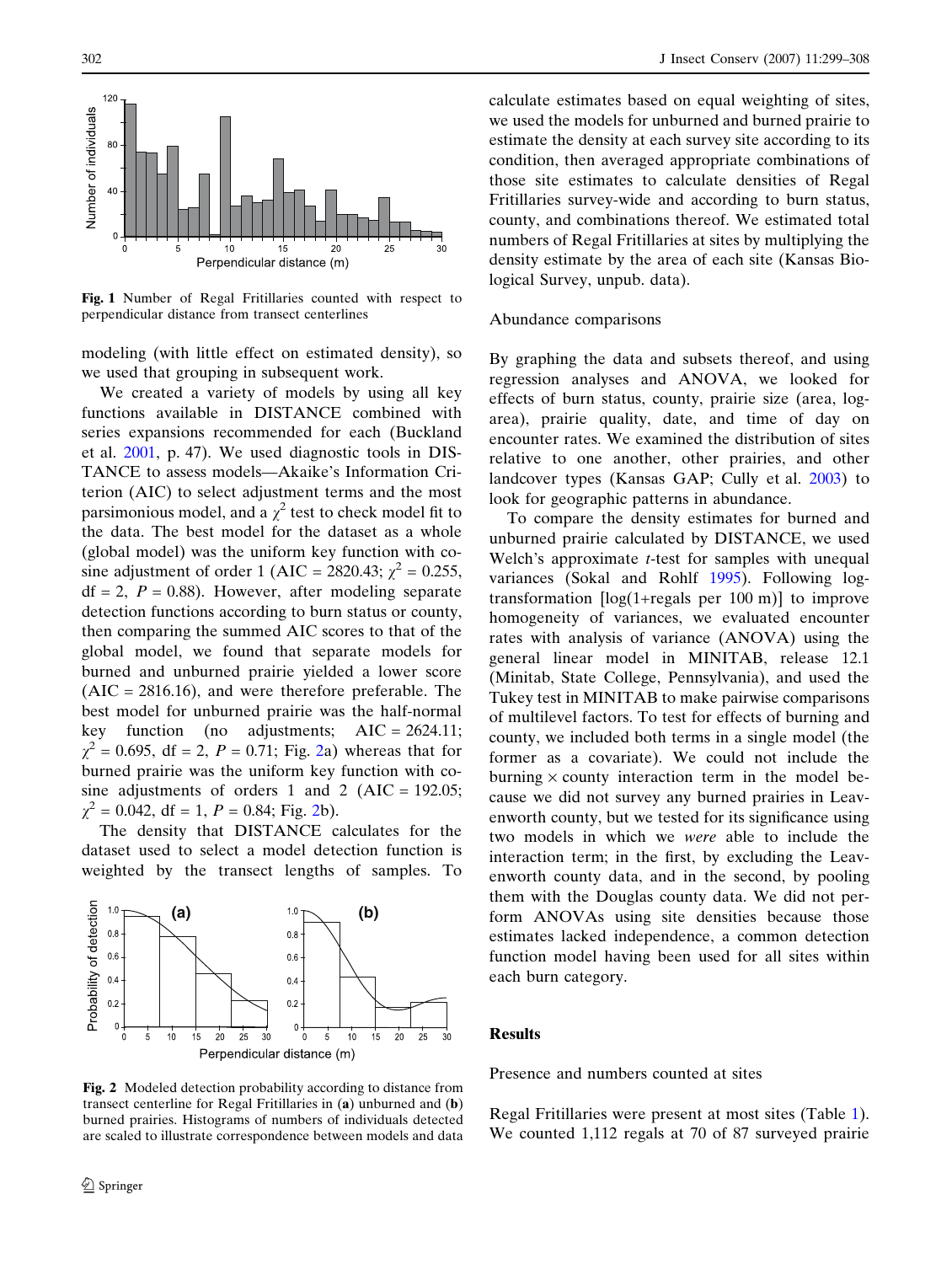<span id="page-3-0"></span>

Fig. 1 Number of Regal Fritillaries counted with respect to perpendicular distance from transect centerlines

modeling (with little effect on estimated density), so we used that grouping in subsequent work.

We created a variety of models by using all key functions available in DISTANCE combined with series expansions recommended for each (Buckland et al. [2001,](#page-9-0) p. 47). We used diagnostic tools in DIS-TANCE to assess models—Akaike's Information Criterion (AIC) to select adjustment terms and the most parsimonious model, and a  $\chi^2$  test to check model fit to the data. The best model for the dataset as a whole (global model) was the uniform key function with cosine adjustment of order 1 (AIC = 2820.43;  $\chi^2$  = 0.255,  $df = 2$ ,  $P = 0.88$ ). However, after modeling separate detection functions according to burn status or county, then comparing the summed AIC scores to that of the global model, we found that separate models for burned and unburned prairie yielded a lower score  $(AIC = 2816.16)$ , and were therefore preferable. The best model for unburned prairie was the half-normal key function (no adjustments;  $AIC = 2624.11$ ;  $\chi^2 = 0.695$ , df = 2, P = 0.71; Fig. 2a) whereas that for burned prairie was the uniform key function with cosine adjustments of orders 1 and 2 (AIC =  $192.05$ ;  $\gamma^2 = 0.042$ , df = 1, P = 0.84; Fig. 2b).

The density that DISTANCE calculates for the dataset used to select a model detection function is weighted by the transect lengths of samples. To



Fig. 2 Modeled detection probability according to distance from transect centerline for Regal Fritillaries in (a) unburned and (b) burned prairies. Histograms of numbers of individuals detected are scaled to illustrate correspondence between models and data

calculate estimates based on equal weighting of sites, we used the models for unburned and burned prairie to estimate the density at each survey site according to its condition, then averaged appropriate combinations of those site estimates to calculate densities of Regal Fritillaries survey-wide and according to burn status, county, and combinations thereof. We estimated total numbers of Regal Fritillaries at sites by multiplying the density estimate by the area of each site (Kansas Biological Survey, unpub. data).

## Abundance comparisons

By graphing the data and subsets thereof, and using regression analyses and ANOVA, we looked for effects of burn status, county, prairie size (area, logarea), prairie quality, date, and time of day on encounter rates. We examined the distribution of sites relative to one another, other prairies, and other landcover types (Kansas GAP; Cully et al. [2003\)](#page-9-0) to look for geographic patterns in abundance.

To compare the density estimates for burned and unburned prairie calculated by DISTANCE, we used Welch's approximate *t*-test for samples with unequal variances (Sokal and Rohlf [1995\)](#page-9-0). Following logtransformation  $[log(1+regals per 100 m)]$  to improve homogeneity of variances, we evaluated encounter rates with analysis of variance (ANOVA) using the general linear model in MINITAB, release 12.1 (Minitab, State College, Pennsylvania), and used the Tukey test in MINITAB to make pairwise comparisons of multilevel factors. To test for effects of burning and county, we included both terms in a single model (the former as a covariate). We could not include the burning  $\times$  county interaction term in the model because we did not survey any burned prairies in Leavenworth county, but we tested for its significance using two models in which we were able to include the interaction term; in the first, by excluding the Leavenworth county data, and in the second, by pooling them with the Douglas county data. We did not perform ANOVAs using site densities because those estimates lacked independence, a common detection function model having been used for all sites within each burn category.

## Results

Presence and numbers counted at sites

Regal Fritillaries were present at most sites (Table [1\)](#page-2-0). We counted 1,112 regals at 70 of 87 surveyed prairie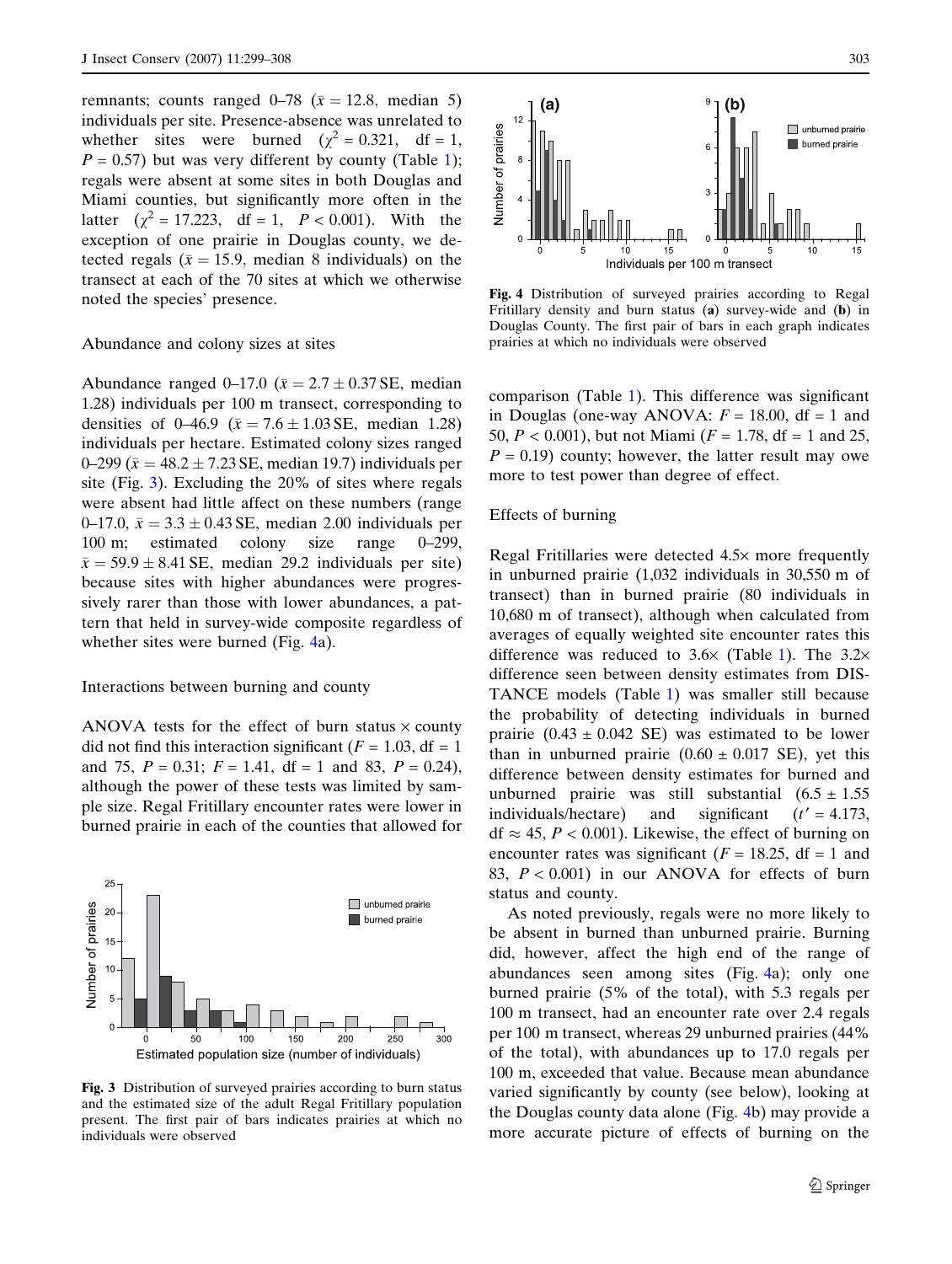<span id="page-4-0"></span>remnants; counts ranged 0–78 ( $\bar{x}$  = 12.8; median 5) individuals per site. Presence-absence was unrelated to whether sites were burned ( $\chi^2 = 0.321$ , df = 1,  $P = 0.57$ ) but was very different by county (Table [1\)](#page-2-0); regals were absent at some sites in both Douglas and Miami counties, but significantly more often in the latter  $(\chi^2 = 17.223, df = 1, P < 0.001)$ . With the exception of one prairie in Douglas county, we detected regals ( $\bar{x} = 15.9$ , median 8 individuals) on the transect at each of the 70 sites at which we otherwise noted the species' presence.

#### Abundance and colony sizes at sites

Abundance ranged  $0-17.0$  ( $\bar{x} = 2.7 \pm 0.37$  SE, median 1.28) individuals per 100 m transect, corresponding to densities of 0-46.9 ( $\bar{x} = 7.6 \pm 1.03$  SE, median 1.28) individuals per hectare. Estimated colony sizes ranged 0–299 ( $\bar{x} = 48.2 \pm 7.23$  SE, median 19.7) individuals per site (Fig. 3). Excluding the 20% of sites where regals were absent had little affect on these numbers (range 0–17.0,  $\bar{x} = 3.3 \pm 0.43$  SE, median 2.00 individuals per 100 m; estimated colony size range 0–299,  $\bar{x} = 59.9 \pm 8.41$  SE, median 29.2 individuals per site) because sites with higher abundances were progressively rarer than those with lower abundances, a pattern that held in survey-wide composite regardless of whether sites were burned (Fig. 4a).

# Interactions between burning and county

ANOVA tests for the effect of burn status  $\times$  county did not find this interaction significant ( $F = 1.03$ , df = 1 and 75,  $P = 0.31$ ;  $F = 1.41$ , df = 1 and 83,  $P = 0.24$ ), although the power of these tests was limited by sample size. Regal Fritillary encounter rates were lower in burned prairie in each of the counties that allowed for



Fig. 3 Distribution of surveyed prairies according to burn status and the estimated size of the adult Regal Fritillary population present. The first pair of bars indicates prairies at which no individuals were observed



Fig. 4 Distribution of surveyed prairies according to Regal Fritillary density and burn status (a) survey-wide and (b) in Douglas County. The first pair of bars in each graph indicates prairies at which no individuals were observed

comparison (Table [1\)](#page-2-0). This difference was significant in Douglas (one-way ANOVA:  $F = 18.00$ , df = 1 and 50,  $P < 0.001$ ), but not Miami ( $F = 1.78$ , df = 1 and 25,  $P = 0.19$ ) county; however, the latter result may owe more to test power than degree of effect.

# Effects of burning

Regal Fritillaries were detected  $4.5\times$  more frequently in unburned prairie (1,032 individuals in 30,550 m of transect) than in burned prairie (80 individuals in 10,680 m of transect), although when calculated from averages of equally weighted site encounter rates this difference was reduced to  $3.6\times$  (Table [1\)](#page-2-0). The  $3.2\times$ difference seen between density estimates from DIS-TANCE models (Table [1\)](#page-2-0) was smaller still because the probability of detecting individuals in burned prairie  $(0.43 \pm 0.042 \text{ SE})$  was estimated to be lower than in unburned prairie  $(0.60 \pm 0.017 \text{ SE})$ , yet this difference between density estimates for burned and unburned prairie was still substantial  $(6.5 \pm 1.55)$ individuals/hectare) and significant  $(t' = 4.173,$  $df \approx 45$ ,  $P < 0.001$ ). Likewise, the effect of burning on encounter rates was significant ( $F = 18.25$ , df = 1 and 83,  $P < 0.001$ ) in our ANOVA for effects of burn status and county.

As noted previously, regals were no more likely to be absent in burned than unburned prairie. Burning did, however, affect the high end of the range of abundances seen among sites (Fig. 4a); only one burned prairie (5% of the total), with 5.3 regals per 100 m transect, had an encounter rate over 2.4 regals per 100 m transect, whereas 29 unburned prairies (44% of the total), with abundances up to 17.0 regals per 100 m, exceeded that value. Because mean abundance varied significantly by county (see below), looking at the Douglas county data alone (Fig. 4b) may provide a more accurate picture of effects of burning on the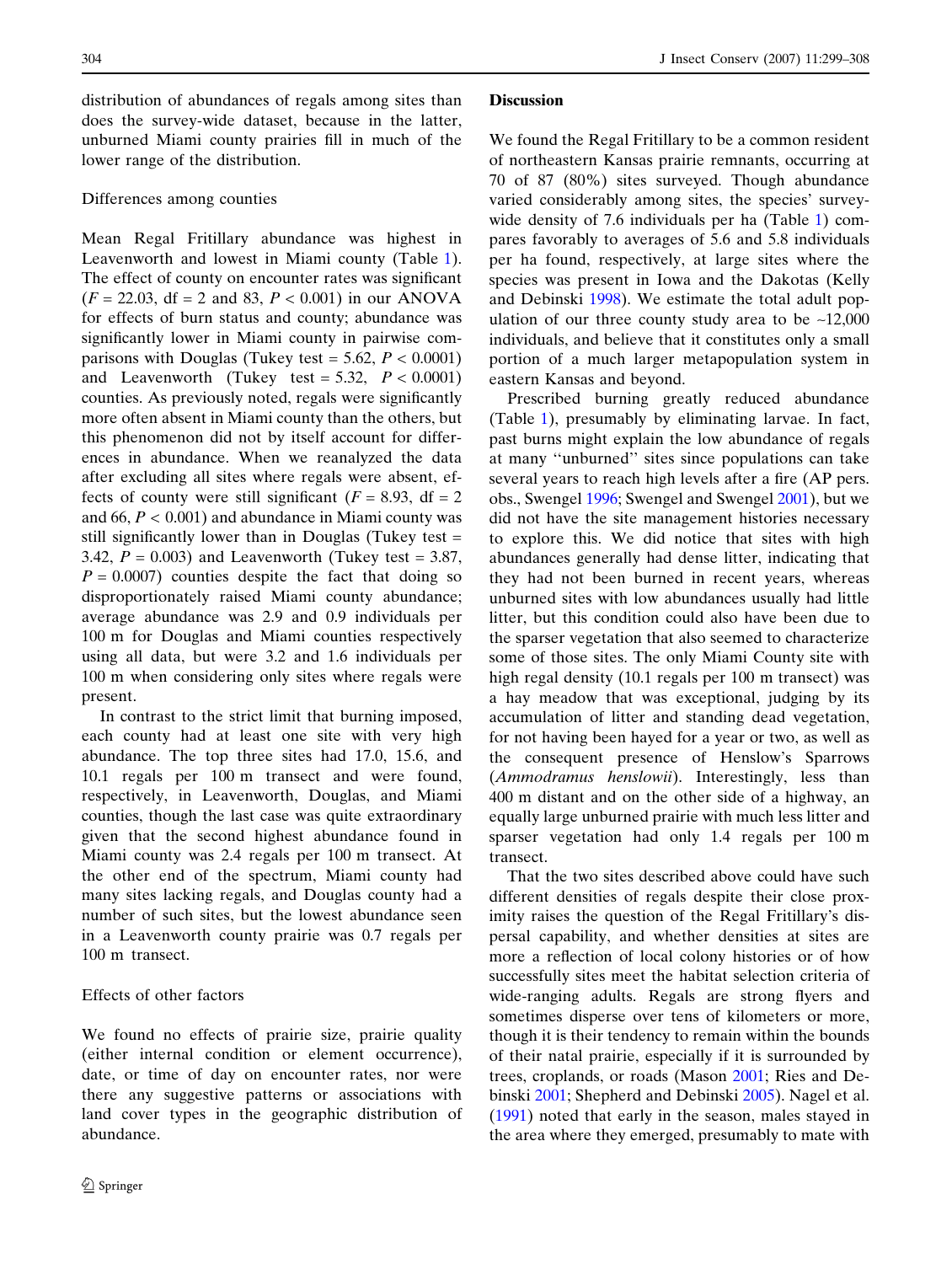distribution of abundances of regals among sites than does the survey-wide dataset, because in the latter, unburned Miami county prairies fill in much of the lower range of the distribution.

# Differences among counties

Mean Regal Fritillary abundance was highest in Leavenworth and lowest in Miami county (Table [1\)](#page-2-0). The effect of county on encounter rates was significant  $(F = 22.03, df = 2$  and 83,  $P < 0.001$ ) in our ANOVA for effects of burn status and county; abundance was significantly lower in Miami county in pairwise comparisons with Douglas (Tukey test = 5.62,  $P < 0.0001$ ) and Leavenworth (Tukey test =  $5.32$ ,  $P < 0.0001$ ) counties. As previously noted, regals were significantly more often absent in Miami county than the others, but this phenomenon did not by itself account for differences in abundance. When we reanalyzed the data after excluding all sites where regals were absent, effects of county were still significant ( $F = 8.93$ , df = 2 and 66,  $P < 0.001$ ) and abundance in Miami county was still significantly lower than in Douglas (Tukey test  $=$ 3.42,  $P = 0.003$ ) and Leavenworth (Tukey test = 3.87,  $P = 0.0007$ ) counties despite the fact that doing so disproportionately raised Miami county abundance; average abundance was 2.9 and 0.9 individuals per 100 m for Douglas and Miami counties respectively using all data, but were 3.2 and 1.6 individuals per 100 m when considering only sites where regals were present.

In contrast to the strict limit that burning imposed, each county had at least one site with very high abundance. The top three sites had 17.0, 15.6, and 10.1 regals per 100 m transect and were found, respectively, in Leavenworth, Douglas, and Miami counties, though the last case was quite extraordinary given that the second highest abundance found in Miami county was 2.4 regals per 100 m transect. At the other end of the spectrum, Miami county had many sites lacking regals, and Douglas county had a number of such sites, but the lowest abundance seen in a Leavenworth county prairie was 0.7 regals per 100 m transect.

# Effects of other factors

We found no effects of prairie size, prairie quality (either internal condition or element occurrence), date, or time of day on encounter rates, nor were there any suggestive patterns or associations with land cover types in the geographic distribution of abundance.

# **Discussion**

We found the Regal Fritillary to be a common resident of northeastern Kansas prairie remnants, occurring at 70 of 87 (80%) sites surveyed. Though abundance varied considerably among sites, the species' surveywide density of 7.6 individuals per ha (Table [1\)](#page-2-0) compares favorably to averages of 5.6 and 5.8 individuals per ha found, respectively, at large sites where the species was present in Iowa and the Dakotas (Kelly and Debinski [1998\)](#page-9-0). We estimate the total adult population of our three county study area to be  $\sim$ 12,000 individuals, and believe that it constitutes only a small portion of a much larger metapopulation system in eastern Kansas and beyond.

Prescribed burning greatly reduced abundance (Table [1](#page-2-0)), presumably by eliminating larvae. In fact, past burns might explain the low abundance of regals at many ''unburned'' sites since populations can take several years to reach high levels after a fire (AP pers. obs., Swengel [1996;](#page-9-0) Swengel and Swengel [2001\)](#page-9-0), but we did not have the site management histories necessary to explore this. We did notice that sites with high abundances generally had dense litter, indicating that they had not been burned in recent years, whereas unburned sites with low abundances usually had little litter, but this condition could also have been due to the sparser vegetation that also seemed to characterize some of those sites. The only Miami County site with high regal density (10.1 regals per 100 m transect) was a hay meadow that was exceptional, judging by its accumulation of litter and standing dead vegetation, for not having been hayed for a year or two, as well as the consequent presence of Henslow's Sparrows (Ammodramus henslowii). Interestingly, less than 400 m distant and on the other side of a highway, an equally large unburned prairie with much less litter and sparser vegetation had only 1.4 regals per 100 m transect.

That the two sites described above could have such different densities of regals despite their close proximity raises the question of the Regal Fritillary's dispersal capability, and whether densities at sites are more a reflection of local colony histories or of how successfully sites meet the habitat selection criteria of wide-ranging adults. Regals are strong flyers and sometimes disperse over tens of kilometers or more, though it is their tendency to remain within the bounds of their natal prairie, especially if it is surrounded by trees, croplands, or roads (Mason [2001;](#page-9-0) Ries and Debinski [2001;](#page-9-0) Shepherd and Debinski [2005\)](#page-9-0). Nagel et al. ([1991\)](#page-9-0) noted that early in the season, males stayed in the area where they emerged, presumably to mate with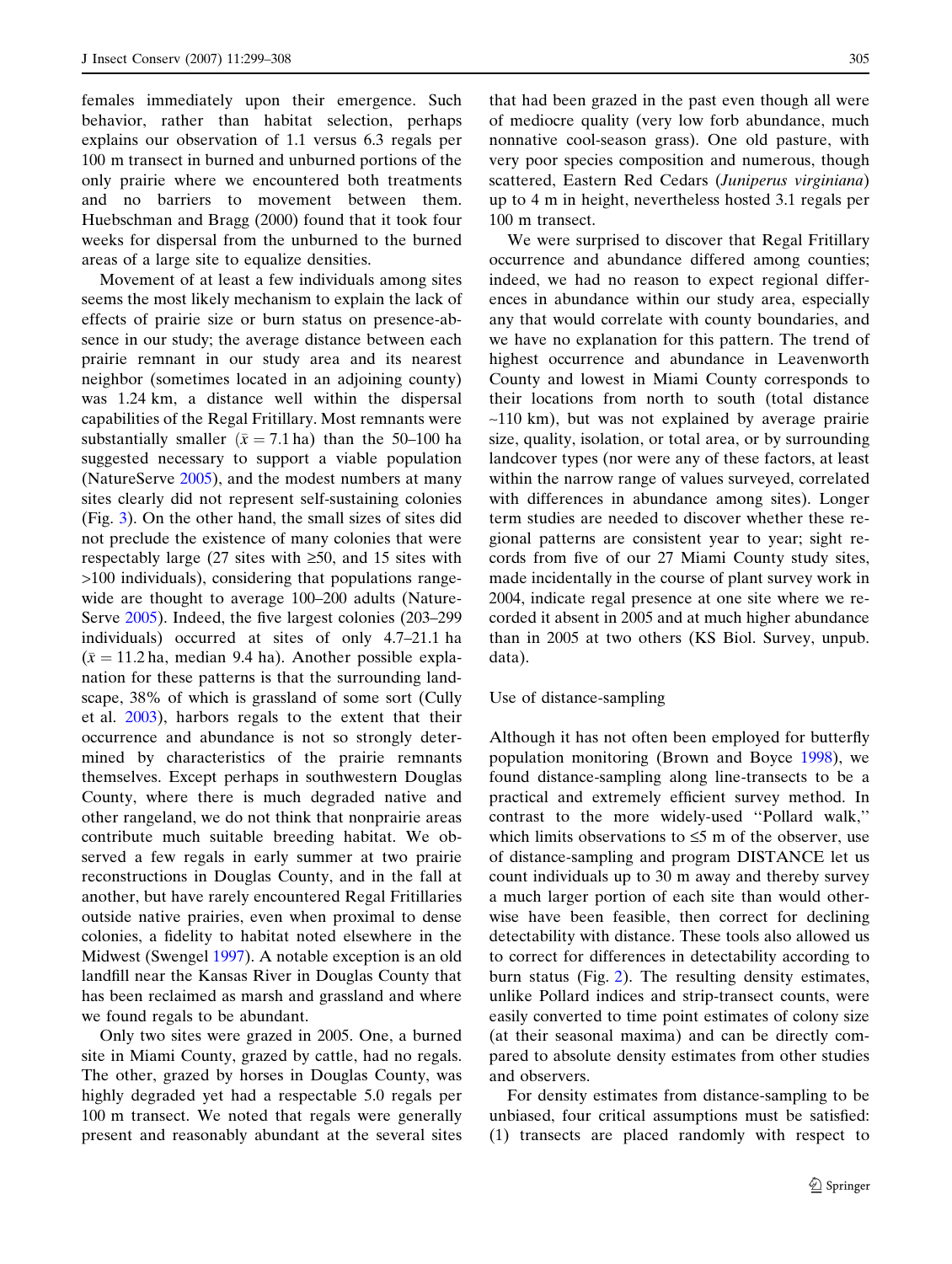females immediately upon their emergence. Such behavior, rather than habitat selection, perhaps explains our observation of 1.1 versus 6.3 regals per 100 m transect in burned and unburned portions of the only prairie where we encountered both treatments and no barriers to movement between them. Huebschman and Bragg (2000) found that it took four weeks for dispersal from the unburned to the burned areas of a large site to equalize densities.

Movement of at least a few individuals among sites seems the most likely mechanism to explain the lack of effects of prairie size or burn status on presence-absence in our study; the average distance between each prairie remnant in our study area and its nearest neighbor (sometimes located in an adjoining county) was 1.24 km, a distance well within the dispersal capabilities of the Regal Fritillary. Most remnants were substantially smaller  $(\bar{x} = 7.1 \text{ ha})$  than the 50–100 ha suggested necessary to support a viable population (NatureServe [2005\)](#page-9-0), and the modest numbers at many sites clearly did not represent self-sustaining colonies (Fig. [3\)](#page-4-0). On the other hand, the small sizes of sites did not preclude the existence of many colonies that were respectably large (27 sites with  $\geq 50$ , and 15 sites with >100 individuals), considering that populations rangewide are thought to average 100–200 adults (Nature-Serve [2005](#page-9-0)). Indeed, the five largest colonies (203–299 individuals) occurred at sites of only 4.7–21.1 ha  $(\bar{x} = 11.2 \text{ ha}, \text{ median } 9.4 \text{ ha}).$  Another possible explanation for these patterns is that the surrounding landscape, 38% of which is grassland of some sort (Cully et al. [2003](#page-9-0)), harbors regals to the extent that their occurrence and abundance is not so strongly determined by characteristics of the prairie remnants themselves. Except perhaps in southwestern Douglas County, where there is much degraded native and other rangeland, we do not think that nonprairie areas contribute much suitable breeding habitat. We observed a few regals in early summer at two prairie reconstructions in Douglas County, and in the fall at another, but have rarely encountered Regal Fritillaries outside native prairies, even when proximal to dense colonies, a fidelity to habitat noted elsewhere in the Midwest (Swengel [1997](#page-9-0)). A notable exception is an old landfill near the Kansas River in Douglas County that has been reclaimed as marsh and grassland and where we found regals to be abundant.

Only two sites were grazed in 2005. One, a burned site in Miami County, grazed by cattle, had no regals. The other, grazed by horses in Douglas County, was highly degraded yet had a respectable 5.0 regals per 100 m transect. We noted that regals were generally present and reasonably abundant at the several sites

that had been grazed in the past even though all were of mediocre quality (very low forb abundance, much nonnative cool-season grass). One old pasture, with very poor species composition and numerous, though scattered, Eastern Red Cedars (Juniperus virginiana) up to 4 m in height, nevertheless hosted 3.1 regals per 100 m transect.

We were surprised to discover that Regal Fritillary occurrence and abundance differed among counties; indeed, we had no reason to expect regional differences in abundance within our study area, especially any that would correlate with county boundaries, and we have no explanation for this pattern. The trend of highest occurrence and abundance in Leavenworth County and lowest in Miami County corresponds to their locations from north to south (total distance  $-110$  km), but was not explained by average prairie size, quality, isolation, or total area, or by surrounding landcover types (nor were any of these factors, at least within the narrow range of values surveyed, correlated with differences in abundance among sites). Longer term studies are needed to discover whether these regional patterns are consistent year to year; sight records from five of our 27 Miami County study sites, made incidentally in the course of plant survey work in 2004, indicate regal presence at one site where we recorded it absent in 2005 and at much higher abundance than in 2005 at two others (KS Biol. Survey, unpub. data).

#### Use of distance-sampling

Although it has not often been employed for butterfly population monitoring (Brown and Boyce [1998](#page-9-0)), we found distance-sampling along line-transects to be a practical and extremely efficient survey method. In contrast to the more widely-used ''Pollard walk,'' which limits observations to  $\leq 5$  m of the observer, use of distance-sampling and program DISTANCE let us count individuals up to 30 m away and thereby survey a much larger portion of each site than would otherwise have been feasible, then correct for declining detectability with distance. These tools also allowed us to correct for differences in detectability according to burn status (Fig. [2\)](#page-3-0). The resulting density estimates, unlike Pollard indices and strip-transect counts, were easily converted to time point estimates of colony size (at their seasonal maxima) and can be directly compared to absolute density estimates from other studies and observers.

For density estimates from distance-sampling to be unbiased, four critical assumptions must be satisfied: (1) transects are placed randomly with respect to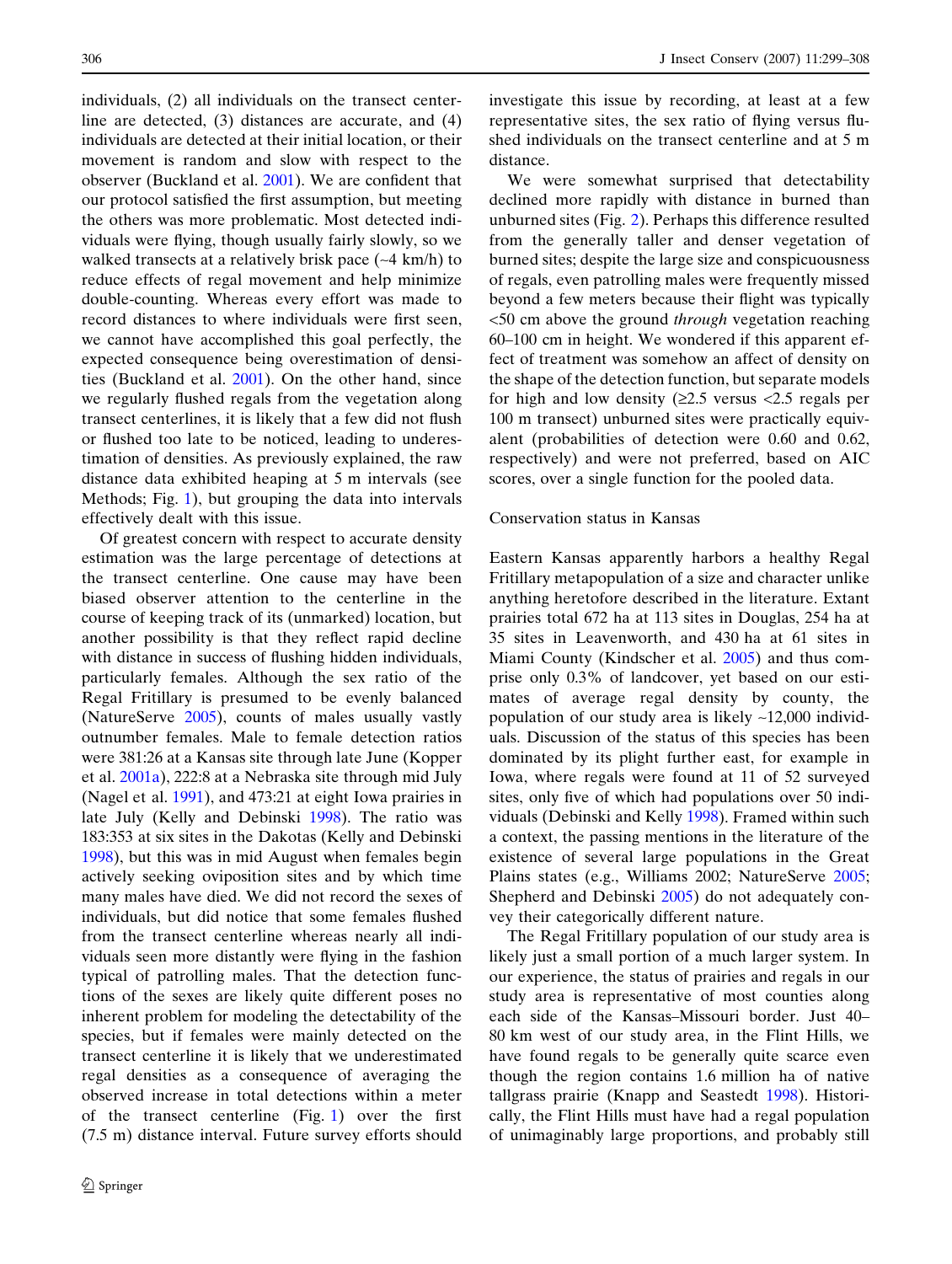individuals, (2) all individuals on the transect centerline are detected, (3) distances are accurate, and (4) individuals are detected at their initial location, or their movement is random and slow with respect to the observer (Buckland et al. [2001\)](#page-9-0). We are confident that our protocol satisfied the first assumption, but meeting the others was more problematic. Most detected individuals were flying, though usually fairly slowly, so we walked transects at a relatively brisk pace  $(-4 \text{ km/h})$  to reduce effects of regal movement and help minimize double-counting. Whereas every effort was made to record distances to where individuals were first seen, we cannot have accomplished this goal perfectly, the expected consequence being overestimation of densities (Buckland et al. [2001\)](#page-9-0). On the other hand, since we regularly flushed regals from the vegetation along transect centerlines, it is likely that a few did not flush or flushed too late to be noticed, leading to underestimation of densities. As previously explained, the raw distance data exhibited heaping at 5 m intervals (see Methods; Fig. [1](#page-3-0)), but grouping the data into intervals effectively dealt with this issue.

Of greatest concern with respect to accurate density estimation was the large percentage of detections at the transect centerline. One cause may have been biased observer attention to the centerline in the course of keeping track of its (unmarked) location, but another possibility is that they reflect rapid decline with distance in success of flushing hidden individuals, particularly females. Although the sex ratio of the Regal Fritillary is presumed to be evenly balanced (NatureServe [2005\)](#page-9-0), counts of males usually vastly outnumber females. Male to female detection ratios were 381:26 at a Kansas site through late June (Kopper et al. [2001a](#page-9-0)), 222:8 at a Nebraska site through mid July (Nagel et al. [1991\)](#page-9-0), and 473:21 at eight Iowa prairies in late July (Kelly and Debinski [1998\)](#page-9-0). The ratio was 183:353 at six sites in the Dakotas (Kelly and Debinski [1998\)](#page-9-0), but this was in mid August when females begin actively seeking oviposition sites and by which time many males have died. We did not record the sexes of individuals, but did notice that some females flushed from the transect centerline whereas nearly all individuals seen more distantly were flying in the fashion typical of patrolling males. That the detection functions of the sexes are likely quite different poses no inherent problem for modeling the detectability of the species, but if females were mainly detected on the transect centerline it is likely that we underestimated regal densities as a consequence of averaging the observed increase in total detections within a meter of the transect centerline (Fig. [1\)](#page-3-0) over the first (7.5 m) distance interval. Future survey efforts should investigate this issue by recording, at least at a few representative sites, the sex ratio of flying versus flushed individuals on the transect centerline and at 5 m distance.

We were somewhat surprised that detectability declined more rapidly with distance in burned than unburned sites (Fig. [2\)](#page-3-0). Perhaps this difference resulted from the generally taller and denser vegetation of burned sites; despite the large size and conspicuousness of regals, even patrolling males were frequently missed beyond a few meters because their flight was typically <50 cm above the ground through vegetation reaching 60–100 cm in height. We wondered if this apparent effect of treatment was somehow an affect of density on the shape of the detection function, but separate models for high and low density  $(\geq 2.5 \text{ versus } < 2.5 \text{ regards per})$ 100 m transect) unburned sites were practically equivalent (probabilities of detection were 0.60 and 0.62, respectively) and were not preferred, based on AIC scores, over a single function for the pooled data.

## Conservation status in Kansas

Eastern Kansas apparently harbors a healthy Regal Fritillary metapopulation of a size and character unlike anything heretofore described in the literature. Extant prairies total 672 ha at 113 sites in Douglas, 254 ha at 35 sites in Leavenworth, and 430 ha at 61 sites in Miami County (Kindscher et al. [2005\)](#page-9-0) and thus comprise only 0.3% of landcover, yet based on our estimates of average regal density by county, the population of our study area is likely ~12,000 individuals. Discussion of the status of this species has been dominated by its plight further east, for example in Iowa, where regals were found at 11 of 52 surveyed sites, only five of which had populations over 50 individuals (Debinski and Kelly [1998\)](#page-9-0). Framed within such a context, the passing mentions in the literature of the existence of several large populations in the Great Plains states (e.g., Williams 2002; NatureServe [2005;](#page-9-0) Shepherd and Debinski [2005\)](#page-9-0) do not adequately convey their categorically different nature.

The Regal Fritillary population of our study area is likely just a small portion of a much larger system. In our experience, the status of prairies and regals in our study area is representative of most counties along each side of the Kansas–Missouri border. Just 40– 80 km west of our study area, in the Flint Hills, we have found regals to be generally quite scarce even though the region contains 1.6 million ha of native tallgrass prairie (Knapp and Seastedt [1998](#page-9-0)). Historically, the Flint Hills must have had a regal population of unimaginably large proportions, and probably still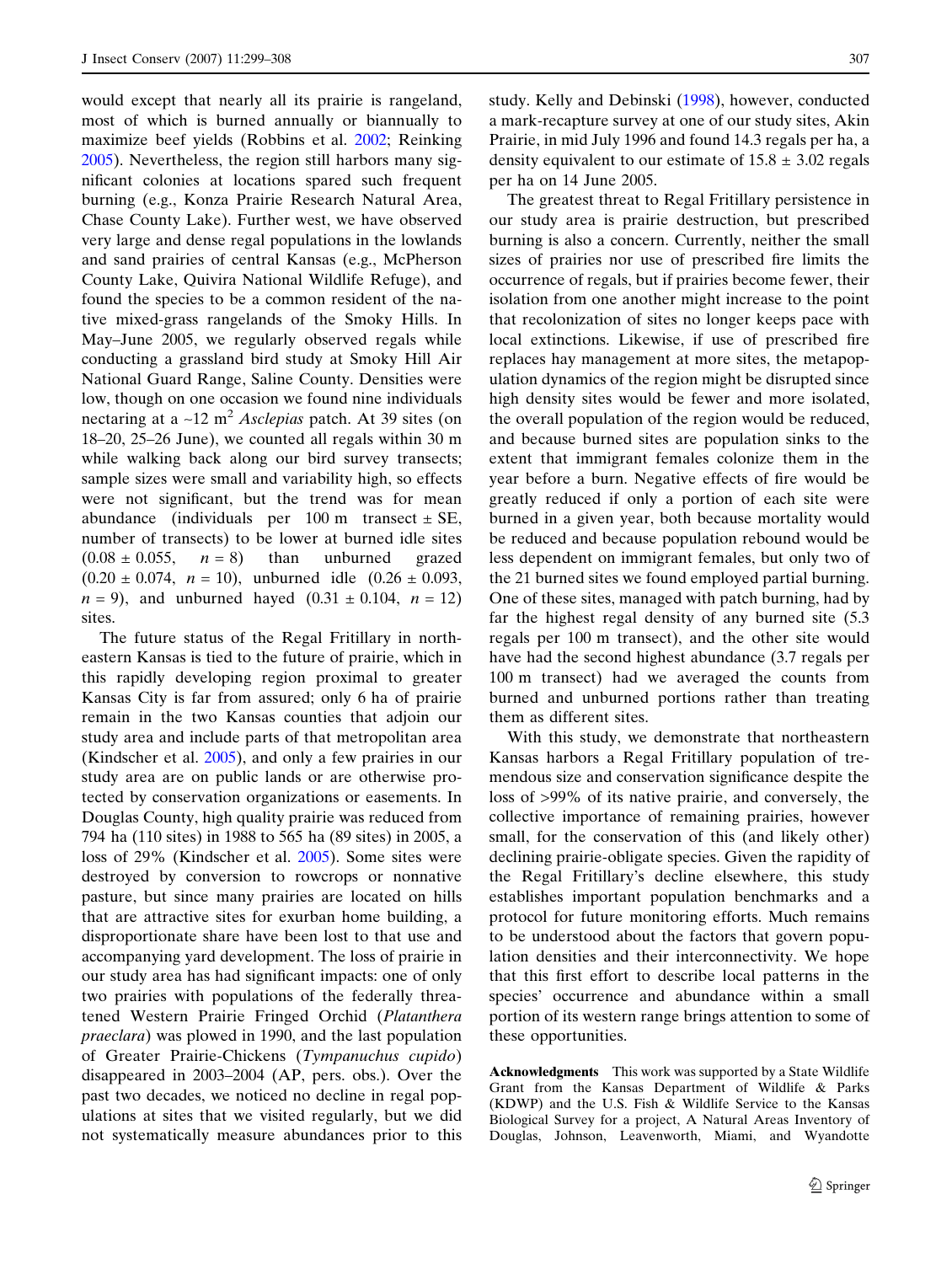would except that nearly all its prairie is rangeland, most of which is burned annually or biannually to maximize beef yields (Robbins et al. [2002](#page-9-0); Reinking [2005\)](#page-9-0). Nevertheless, the region still harbors many significant colonies at locations spared such frequent burning (e.g., Konza Prairie Research Natural Area, Chase County Lake). Further west, we have observed very large and dense regal populations in the lowlands and sand prairies of central Kansas (e.g., McPherson County Lake, Quivira National Wildlife Refuge), and found the species to be a common resident of the native mixed-grass rangelands of the Smoky Hills. In May–June 2005, we regularly observed regals while conducting a grassland bird study at Smoky Hill Air National Guard Range, Saline County. Densities were low, though on one occasion we found nine individuals nectaring at a  $\sim$ 12 m<sup>2</sup> Asclepias patch. At 39 sites (on 18–20, 25–26 June), we counted all regals within 30 m while walking back along our bird survey transects; sample sizes were small and variability high, so effects were not significant, but the trend was for mean abundance (individuals per 100 m transect  $\pm$  SE, number of transects) to be lower at burned idle sites  $(0.08 \pm 0.055, \quad n = 8)$  than unburned grazed  $(0.20 \pm 0.074, n = 10)$ , unburned idle  $(0.26 \pm 0.093,$  $n = 9$ , and unburned hayed  $(0.31 \pm 0.104, n = 12)$ sites.

The future status of the Regal Fritillary in northeastern Kansas is tied to the future of prairie, which in this rapidly developing region proximal to greater Kansas City is far from assured; only 6 ha of prairie remain in the two Kansas counties that adjoin our study area and include parts of that metropolitan area (Kindscher et al. [2005\)](#page-9-0), and only a few prairies in our study area are on public lands or are otherwise protected by conservation organizations or easements. In Douglas County, high quality prairie was reduced from 794 ha (110 sites) in 1988 to 565 ha (89 sites) in 2005, a loss of 29% (Kindscher et al. [2005](#page-9-0)). Some sites were destroyed by conversion to rowcrops or nonnative pasture, but since many prairies are located on hills that are attractive sites for exurban home building, a disproportionate share have been lost to that use and accompanying yard development. The loss of prairie in our study area has had significant impacts: one of only two prairies with populations of the federally threatened Western Prairie Fringed Orchid (Platanthera praeclara) was plowed in 1990, and the last population of Greater Prairie-Chickens (Tympanuchus cupido) disappeared in 2003–2004 (AP, pers. obs.). Over the past two decades, we noticed no decline in regal populations at sites that we visited regularly, but we did not systematically measure abundances prior to this study. Kelly and Debinski [\(1998](#page-9-0)), however, conducted a mark-recapture survey at one of our study sites, Akin Prairie, in mid July 1996 and found 14.3 regals per ha, a density equivalent to our estimate of  $15.8 \pm 3.02$  regals per ha on 14 June 2005.

The greatest threat to Regal Fritillary persistence in our study area is prairie destruction, but prescribed burning is also a concern. Currently, neither the small sizes of prairies nor use of prescribed fire limits the occurrence of regals, but if prairies become fewer, their isolation from one another might increase to the point that recolonization of sites no longer keeps pace with local extinctions. Likewise, if use of prescribed fire replaces hay management at more sites, the metapopulation dynamics of the region might be disrupted since high density sites would be fewer and more isolated, the overall population of the region would be reduced, and because burned sites are population sinks to the extent that immigrant females colonize them in the year before a burn. Negative effects of fire would be greatly reduced if only a portion of each site were burned in a given year, both because mortality would be reduced and because population rebound would be less dependent on immigrant females, but only two of the 21 burned sites we found employed partial burning. One of these sites, managed with patch burning, had by far the highest regal density of any burned site (5.3 regals per 100 m transect), and the other site would have had the second highest abundance (3.7 regals per 100 m transect) had we averaged the counts from burned and unburned portions rather than treating them as different sites.

With this study, we demonstrate that northeastern Kansas harbors a Regal Fritillary population of tremendous size and conservation significance despite the loss of >99% of its native prairie, and conversely, the collective importance of remaining prairies, however small, for the conservation of this (and likely other) declining prairie-obligate species. Given the rapidity of the Regal Fritillary's decline elsewhere, this study establishes important population benchmarks and a protocol for future monitoring efforts. Much remains to be understood about the factors that govern population densities and their interconnectivity. We hope that this first effort to describe local patterns in the species' occurrence and abundance within a small portion of its western range brings attention to some of these opportunities.

Acknowledgments This work was supported by a State Wildlife Grant from the Kansas Department of Wildlife & Parks (KDWP) and the U.S. Fish & Wildlife Service to the Kansas Biological Survey for a project, A Natural Areas Inventory of Douglas, Johnson, Leavenworth, Miami, and Wyandotte